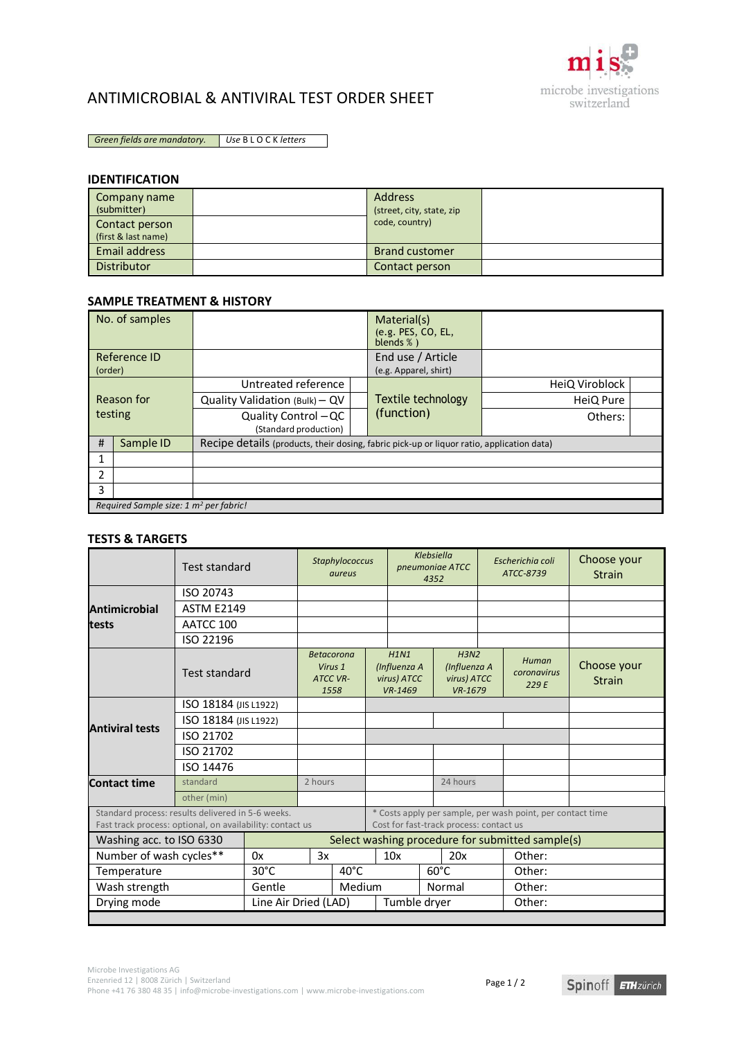

## ANTIMICROBIAL & ANTIVIRAL TEST ORDER SHEET

*Green fields are mandatory. Use* B L O C K *letters*

### **IDENTIFICATION**

| Company name<br>(submitter)<br>Contact person<br>(first & last name) | <b>Address</b><br>(street, city, state, zip<br>code, country) |  |
|----------------------------------------------------------------------|---------------------------------------------------------------|--|
| Email address                                                        | <b>Brand customer</b>                                         |  |
| <b>Distributor</b>                                                   | Contact person                                                |  |

#### **SAMPLE TREATMENT & HISTORY**

|                       | No. of samples                                     |                                                                                           |  | Material(s)<br>(e.g. PES, CO, EL,<br>blends $%$ ) |                |  |  |  |  |
|-----------------------|----------------------------------------------------|-------------------------------------------------------------------------------------------|--|---------------------------------------------------|----------------|--|--|--|--|
| (order)               | Reference ID                                       |                                                                                           |  | End use / Article<br>(e.g. Apparel, shirt)        |                |  |  |  |  |
| Reason for<br>testing |                                                    | Untreated reference                                                                       |  |                                                   | HeiQ Viroblock |  |  |  |  |
|                       |                                                    | Quality Validation (Bulk) - QV                                                            |  | Textile technology                                | HeiQ Pure      |  |  |  |  |
|                       |                                                    | Quality Control - QC<br>(Standard production)                                             |  | (function)                                        | Others:        |  |  |  |  |
| #                     | Sample ID                                          | Recipe details (products, their dosing, fabric pick-up or liquor ratio, application data) |  |                                                   |                |  |  |  |  |
| 1                     |                                                    |                                                                                           |  |                                                   |                |  |  |  |  |
| 2                     |                                                    |                                                                                           |  |                                                   |                |  |  |  |  |
| 3                     |                                                    |                                                                                           |  |                                                   |                |  |  |  |  |
|                       | Required Sample size: 1 m <sup>2</sup> per fabric! |                                                                                           |  |                                                   |                |  |  |  |  |

#### **TESTS & TARGETS**

|                                                                                                                | <b>Test standard</b>  |                | Klebsiella<br>Staphylococcus<br>pneumoniae ATCC<br>aureus<br>4352                                     |         |                                                |                | Escherichia coli<br>ATCC-8739                                           | Choose your<br><b>Strain</b> |                               |                              |
|----------------------------------------------------------------------------------------------------------------|-----------------------|----------------|-------------------------------------------------------------------------------------------------------|---------|------------------------------------------------|----------------|-------------------------------------------------------------------------|------------------------------|-------------------------------|------------------------------|
|                                                                                                                | ISO 20743             |                |                                                                                                       |         |                                                |                |                                                                         |                              |                               |                              |
| <b>Antimicrobial</b>                                                                                           | <b>ASTM E2149</b>     |                |                                                                                                       |         |                                                |                |                                                                         |                              |                               |                              |
| <b>tests</b>                                                                                                   | AATCC 100             |                |                                                                                                       |         |                                                |                |                                                                         |                              |                               |                              |
|                                                                                                                | ISO 22196             |                |                                                                                                       |         |                                                |                |                                                                         |                              |                               |                              |
|                                                                                                                | <b>Test standard</b>  |                | <b>Betacorona</b><br><b>ATCC VR-</b><br>1558                                                          | Virus 1 | H1N1<br>(Influenza A<br>virus) ATCC<br>VR-1469 |                | H <sub>3</sub> N <sub>2</sub><br>(Influenza A<br>virus) ATCC<br>VR-1679 |                              | Human<br>coronavirus<br>229 E | Choose your<br><b>Strain</b> |
|                                                                                                                | ISO 18184 (JIS L1922) |                |                                                                                                       |         |                                                |                |                                                                         |                              |                               |                              |
|                                                                                                                | ISO 18184 (JIS L1922) |                |                                                                                                       |         |                                                |                |                                                                         |                              |                               |                              |
| <b>Antiviral tests</b>                                                                                         | ISO 21702             |                |                                                                                                       |         |                                                |                |                                                                         |                              |                               |                              |
|                                                                                                                | ISO 21702             |                |                                                                                                       |         |                                                |                |                                                                         |                              |                               |                              |
|                                                                                                                | ISO 14476             |                |                                                                                                       |         |                                                |                |                                                                         |                              |                               |                              |
| <b>Contact time</b>                                                                                            | standard              |                | 2 hours                                                                                               |         |                                                |                | 24 hours                                                                |                              |                               |                              |
|                                                                                                                | other (min)           |                |                                                                                                       |         |                                                |                |                                                                         |                              |                               |                              |
| Standard process: results delivered in 5-6 weeks.<br>Fast track process: optional, on availability: contact us |                       |                | * Costs apply per sample, per wash point, per contact time<br>Cost for fast-track process: contact us |         |                                                |                |                                                                         |                              |                               |                              |
| Washing acc. to ISO 6330                                                                                       |                       |                | Select washing procedure for submitted sample(s)                                                      |         |                                                |                |                                                                         |                              |                               |                              |
| Number of wash cycles**                                                                                        |                       | 0x             | 3x                                                                                                    |         | 10x                                            |                | 20x                                                                     |                              | Other:                        |                              |
| Temperature                                                                                                    |                       | $30^{\circ}$ C | $40^{\circ}$ C                                                                                        |         |                                                | $60^{\circ}$ C |                                                                         |                              | Other:                        |                              |
| Wash strength                                                                                                  |                       | Gentle         | Medium                                                                                                |         |                                                | Normal         |                                                                         |                              | Other:                        |                              |
| Drying mode                                                                                                    |                       |                | Line Air Dried (LAD)                                                                                  |         |                                                | Tumble dryer   |                                                                         | Other:                       |                               |                              |
|                                                                                                                |                       |                |                                                                                                       |         |                                                |                |                                                                         |                              |                               |                              |